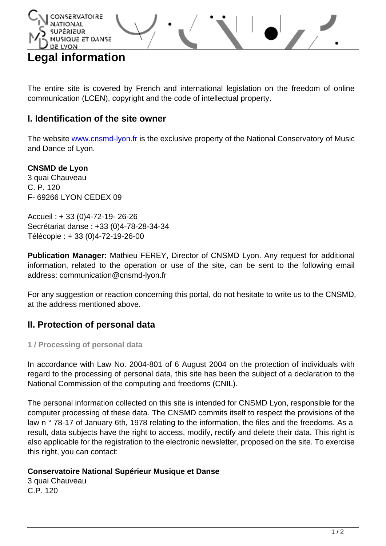

The entire site is covered by French and international legislation on the freedom of online communication (LCEN), copyright and the code of intellectual property.

## **I. Identification of the site owner**

The website [www.cnsmd-lyon.fr](http://www.cnsmd-lyon.fr) is the exclusive property of the National Conservatory of Music and Dance of Lyon.

#### **CNSMD de Lyon**

3 quai Chauveau C. P. 120 F- 69266 LYON CEDEX 09

Accueil : + 33 (0)4-72-19- 26-26 Secrétariat danse : +33 (0)4-78-28-34-34 Télécopie : + 33 (0)4-72-19-26-00

**Publication Manager:** Mathieu FEREY, Director of CNSMD Lyon. Any request for additional information, related to the operation or use of the site, can be sent to the following email address: communication@cnsmd-lyon.fr

For any suggestion or reaction concerning this portal, do not hesitate to write us to the CNSMD, at the address mentioned above.

### **II. Protection of personal data**

**1 / Processing of personal data**

In accordance with Law No. 2004-801 of 6 August 2004 on the protection of individuals with regard to the processing of personal data, this site has been the subject of a declaration to the National Commission of the computing and freedoms (CNIL).

The personal information collected on this site is intended for CNSMD Lyon, responsible for the computer processing of these data. The CNSMD commits itself to respect the provisions of the law n ° 78-17 of January 6th, 1978 relating to the information, the files and the freedoms. As a result, data subjects have the right to access, modify, rectify and delete their data. This right is also applicable for the registration to the electronic newsletter, proposed on the site. To exercise this right, you can contact:

#### **Conservatoire National Supérieur Musique et Danse**

3 quai Chauveau C.P. 120